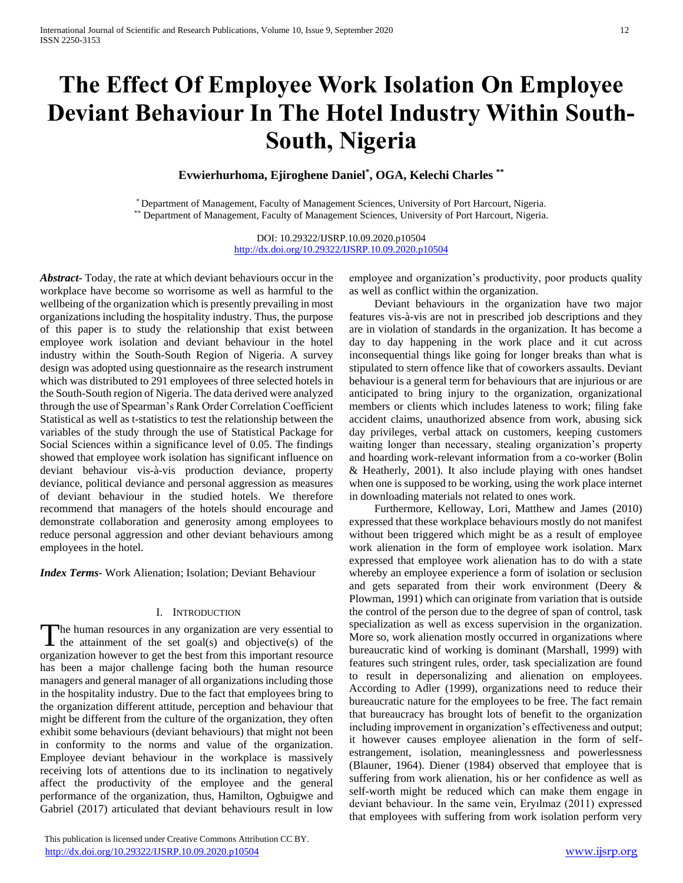# **The Effect Of Employee Work Isolation On Employee Deviant Behaviour In The Hotel Industry Within South-South, Nigeria**

**Evwierhurhoma, Ejiroghene Daniel\* , OGA, Kelechi Charles \*\***

\* Department of Management, Faculty of Management Sciences, University of Port Harcourt, Nigeria. \*\* Department of Management, Faculty of Management Sciences, University of Port Harcourt, Nigeria.

> DOI: 10.29322/IJSRP.10.09.2020.p10504 <http://dx.doi.org/10.29322/IJSRP.10.09.2020.p10504>

*Abstract***-** Today, the rate at which deviant behaviours occur in the workplace have become so worrisome as well as harmful to the wellbeing of the organization which is presently prevailing in most organizations including the hospitality industry. Thus, the purpose of this paper is to study the relationship that exist between employee work isolation and deviant behaviour in the hotel industry within the South-South Region of Nigeria. A survey design was adopted using questionnaire as the research instrument which was distributed to 291 employees of three selected hotels in the South-South region of Nigeria. The data derived were analyzed through the use of Spearman's Rank Order Correlation Coefficient Statistical as well as t-statistics to test the relationship between the variables of the study through the use of Statistical Package for Social Sciences within a significance level of 0.05. The findings showed that employee work isolation has significant influence on deviant behaviour vis-à-vis production deviance, property deviance, political deviance and personal aggression as measures of deviant behaviour in the studied hotels. We therefore recommend that managers of the hotels should encourage and demonstrate collaboration and generosity among employees to reduce personal aggression and other deviant behaviours among employees in the hotel.

*Index Terms*- Work Alienation; Isolation; Deviant Behaviour

#### I. INTRODUCTION

The human resources in any organization are very essential to The human resources in any organization are very essential to the attainment of the set goal(s) and objective(s) of the organization however to get the best from this important resource has been a major challenge facing both the human resource managers and general manager of all organizations including those in the hospitality industry. Due to the fact that employees bring to the organization different attitude, perception and behaviour that might be different from the culture of the organization, they often exhibit some behaviours (deviant behaviours) that might not been in conformity to the norms and value of the organization. Employee deviant behaviour in the workplace is massively receiving lots of attentions due to its inclination to negatively affect the productivity of the employee and the general performance of the organization, thus, Hamilton, Ogbuigwe and Gabriel (2017) articulated that deviant behaviours result in low

 This publication is licensed under Creative Commons Attribution CC BY. <http://dx.doi.org/10.29322/IJSRP.10.09.2020.p10504> [www.ijsrp.org](http://ijsrp.org/)

employee and organization's productivity, poor products quality as well as conflict within the organization.

 Deviant behaviours in the organization have two major features vis-à-vis are not in prescribed job descriptions and they are in violation of standards in the organization. It has become a day to day happening in the work place and it cut across inconsequential things like going for longer breaks than what is stipulated to stern offence like that of coworkers assaults. Deviant behaviour is a general term for behaviours that are injurious or are anticipated to bring injury to the organization, organizational members or clients which includes lateness to work; filing fake accident claims, unauthorized absence from work, abusing sick day privileges, verbal attack on customers, keeping customers waiting longer than necessary, stealing organization's property and hoarding work-relevant information from a co-worker (Bolin & Heatherly, 2001). It also include playing with ones handset when one is supposed to be working, using the work place internet in downloading materials not related to ones work.

 Furthermore, Kelloway, Lori, Matthew and James (2010) expressed that these workplace behaviours mostly do not manifest without been triggered which might be as a result of employee work alienation in the form of employee work isolation. Marx expressed that employee work alienation has to do with a state whereby an employee experience a form of isolation or seclusion and gets separated from their work environment (Deery & Plowman, 1991) which can originate from variation that is outside the control of the person due to the degree of span of control, task specialization as well as excess supervision in the organization. More so, work alienation mostly occurred in organizations where bureaucratic kind of working is dominant (Marshall, 1999) with features such stringent rules, order, task specialization are found to result in depersonalizing and alienation on employees. According to Adler (1999), organizations need to reduce their bureaucratic nature for the employees to be free. The fact remain that bureaucracy has brought lots of benefit to the organization including improvement in organization's effectiveness and output; it however causes employee alienation in the form of selfestrangement, isolation, meaninglessness and powerlessness (Blauner, 1964). Diener (1984) observed that employee that is suffering from work alienation, his or her confidence as well as self-worth might be reduced which can make them engage in deviant behaviour. In the same vein, Eryılmaz (2011) expressed that employees with suffering from work isolation perform very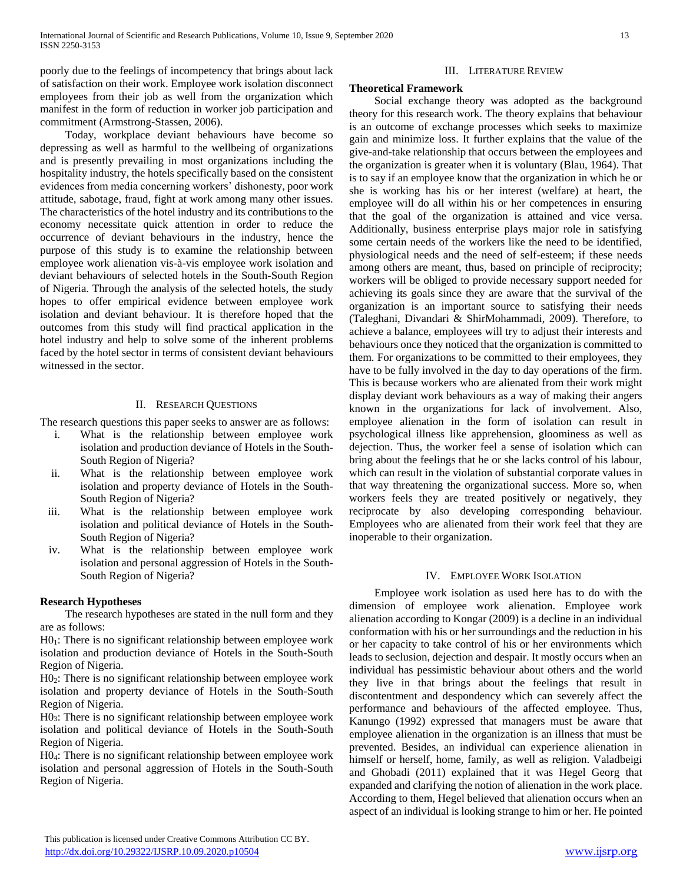poorly due to the feelings of incompetency that brings about lack of satisfaction on their work. Employee work isolation disconnect employees from their job as well from the organization which manifest in the form of reduction in worker job participation and commitment (Armstrong-Stassen, 2006).

 Today, workplace deviant behaviours have become so depressing as well as harmful to the wellbeing of organizations and is presently prevailing in most organizations including the hospitality industry, the hotels specifically based on the consistent evidences from media concerning workers' dishonesty, poor work attitude, sabotage, fraud, fight at work among many other issues. The characteristics of the hotel industry and its contributions to the economy necessitate quick attention in order to reduce the occurrence of deviant behaviours in the industry, hence the purpose of this study is to examine the relationship between employee work alienation vis-à-vis employee work isolation and deviant behaviours of selected hotels in the South-South Region of Nigeria. Through the analysis of the selected hotels, the study hopes to offer empirical evidence between employee work isolation and deviant behaviour. It is therefore hoped that the outcomes from this study will find practical application in the hotel industry and help to solve some of the inherent problems faced by the hotel sector in terms of consistent deviant behaviours witnessed in the sector.

#### II. RESEARCH QUESTIONS

The research questions this paper seeks to answer are as follows:

- i. What is the relationship between employee work isolation and production deviance of Hotels in the South-South Region of Nigeria?
- ii. What is the relationship between employee work isolation and property deviance of Hotels in the South-South Region of Nigeria?
- iii. What is the relationship between employee work isolation and political deviance of Hotels in the South-South Region of Nigeria?
- iv. What is the relationship between employee work isolation and personal aggression of Hotels in the South-South Region of Nigeria?

#### **Research Hypotheses**

 The research hypotheses are stated in the null form and they are as follows:

H0<sub>1</sub>: There is no significant relationship between employee work isolation and production deviance of Hotels in the South-South Region of Nigeria.

H02: There is no significant relationship between employee work isolation and property deviance of Hotels in the South-South Region of Nigeria.

H03: There is no significant relationship between employee work isolation and political deviance of Hotels in the South-South Region of Nigeria.

H04: There is no significant relationship between employee work isolation and personal aggression of Hotels in the South-South Region of Nigeria.

#### III. LITERATURE REVIEW

#### **Theoretical Framework**

 Social exchange theory was adopted as the background theory for this research work. The theory explains that behaviour is an outcome of exchange processes which seeks to maximize gain and minimize loss. It further explains that the value of the give-and-take relationship that occurs between the employees and the organization is greater when it is voluntary (Blau, 1964). That is to say if an employee know that the organization in which he or she is working has his or her interest (welfare) at heart, the employee will do all within his or her competences in ensuring that the goal of the organization is attained and vice versa. Additionally, business enterprise plays major role in satisfying some certain needs of the workers like the need to be identified, physiological needs and the need of self-esteem; if these needs among others are meant, thus, based on principle of reciprocity; workers will be obliged to provide necessary support needed for achieving its goals since they are aware that the survival of the organization is an important source to satisfying their needs (Taleghani, Divandari & ShirMohammadi, 2009). Therefore, to achieve a balance, employees will try to adjust their interests and behaviours once they noticed that the organization is committed to them. For organizations to be committed to their employees, they have to be fully involved in the day to day operations of the firm. This is because workers who are alienated from their work might display deviant work behaviours as a way of making their angers known in the organizations for lack of involvement. Also, employee alienation in the form of isolation can result in psychological illness like apprehension, gloominess as well as dejection. Thus, the worker feel a sense of isolation which can bring about the feelings that he or she lacks control of his labour, which can result in the violation of substantial corporate values in that way threatening the organizational success. More so, when workers feels they are treated positively or negatively, they reciprocate by also developing corresponding behaviour. Employees who are alienated from their work feel that they are inoperable to their organization.

#### IV. EMPLOYEE WORK ISOLATION

 Employee work isolation as used here has to do with the dimension of employee work alienation. Employee work alienation according to Kongar (2009) is a decline in an individual conformation with his or her surroundings and the reduction in his or her capacity to take control of his or her environments which leads to seclusion, dejection and despair. It mostly occurs when an individual has pessimistic behaviour about others and the world they live in that brings about the feelings that result in discontentment and despondency which can severely affect the performance and behaviours of the affected employee. Thus, Kanungo (1992) expressed that managers must be aware that employee alienation in the organization is an illness that must be prevented. Besides, an individual can experience alienation in himself or herself, home, family, as well as religion. Valadbeigi and Ghobadi (2011) explained that it was Hegel Georg that expanded and clarifying the notion of alienation in the work place. According to them, Hegel believed that alienation occurs when an aspect of an individual is looking strange to him or her. He pointed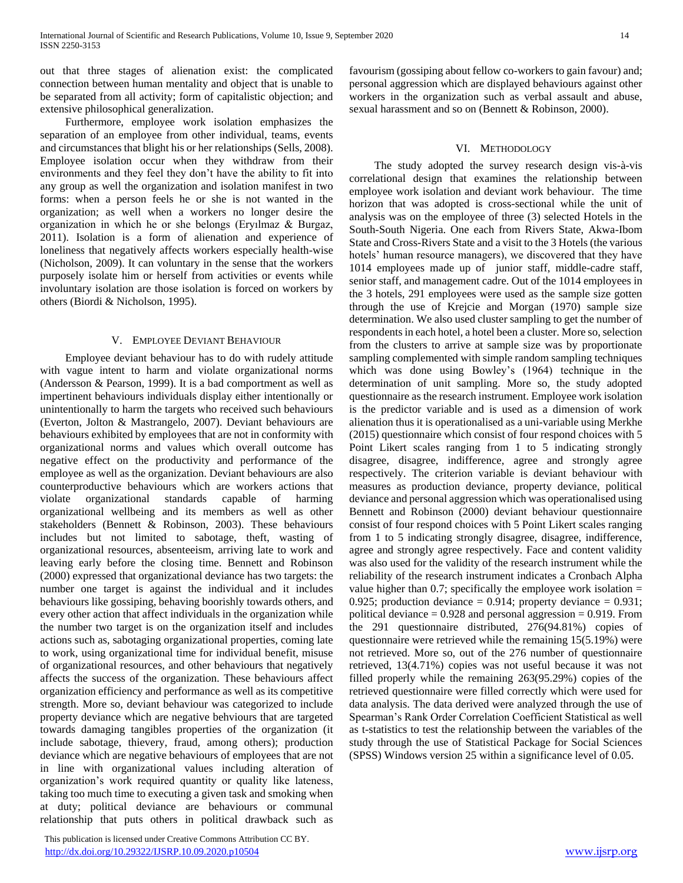out that three stages of alienation exist: the complicated connection between human mentality and object that is unable to be separated from all activity; form of capitalistic objection; and extensive philosophical generalization.

 Furthermore, employee work isolation emphasizes the separation of an employee from other individual, teams, events and circumstances that blight his or her relationships (Sells, 2008). Employee isolation occur when they withdraw from their environments and they feel they don't have the ability to fit into any group as well the organization and isolation manifest in two forms: when a person feels he or she is not wanted in the organization; as well when a workers no longer desire the organization in which he or she belongs (Eryılmaz & Burgaz, 2011). Isolation is a form of alienation and experience of loneliness that negatively affects workers especially health-wise (Nicholson, 2009). It can voluntary in the sense that the workers purposely isolate him or herself from activities or events while involuntary isolation are those isolation is forced on workers by others (Biordi & Nicholson, 1995).

#### V. EMPLOYEE DEVIANT BEHAVIOUR

 Employee deviant behaviour has to do with rudely attitude with vague intent to harm and violate organizational norms (Andersson & Pearson, 1999). It is a bad comportment as well as impertinent behaviours individuals display either intentionally or unintentionally to harm the targets who received such behaviours (Everton, Jolton & Mastrangelo, 2007). Deviant behaviours are behaviours exhibited by employees that are not in conformity with organizational norms and values which overall outcome has negative effect on the productivity and performance of the employee as well as the organization. Deviant behaviours are also counterproductive behaviours which are workers actions that violate organizational standards capable of harming organizational wellbeing and its members as well as other stakeholders (Bennett & Robinson, 2003). These behaviours includes but not limited to sabotage, theft, wasting of organizational resources, absenteeism, arriving late to work and leaving early before the closing time. Bennett and Robinson (2000) expressed that organizational deviance has two targets: the number one target is against the individual and it includes behaviours like gossiping, behaving boorishly towards others, and every other action that affect individuals in the organization while the number two target is on the organization itself and includes actions such as, sabotaging organizational properties, coming late to work, using organizational time for individual benefit, misuse of organizational resources, and other behaviours that negatively affects the success of the organization. These behaviours affect organization efficiency and performance as well as its competitive strength. More so, deviant behaviour was categorized to include property deviance which are negative behviours that are targeted towards damaging tangibles properties of the organization (it include sabotage, thievery, fraud, among others); production deviance which are negative behaviours of employees that are not in line with organizational values including alteration of organization's work required quantity or quality like lateness, taking too much time to executing a given task and smoking when at duty; political deviance are behaviours or communal relationship that puts others in political drawback such as

 This publication is licensed under Creative Commons Attribution CC BY. <http://dx.doi.org/10.29322/IJSRP.10.09.2020.p10504> [www.ijsrp.org](http://ijsrp.org/)

favourism (gossiping about fellow co-workers to gain favour) and; personal aggression which are displayed behaviours against other workers in the organization such as verbal assault and abuse, sexual harassment and so on (Bennett & Robinson, 2000).

#### VI. METHODOLOGY

 The study adopted the survey research design vis-à-vis correlational design that examines the relationship between employee work isolation and deviant work behaviour. The time horizon that was adopted is cross-sectional while the unit of analysis was on the employee of three (3) selected Hotels in the South-South Nigeria. One each from Rivers State, Akwa-Ibom State and Cross-Rivers State and a visit to the 3 Hotels (the various hotels' human resource managers), we discovered that they have 1014 employees made up of junior staff, middle-cadre staff, senior staff, and management cadre. Out of the 1014 employees in the 3 hotels, 291 employees were used as the sample size gotten through the use of Krejcie and Morgan (1970) sample size determination. We also used cluster sampling to get the number of respondents in each hotel, a hotel been a cluster. More so, selection from the clusters to arrive at sample size was by proportionate sampling complemented with simple random sampling techniques which was done using Bowley's (1964) technique in the determination of unit sampling. More so, the study adopted questionnaire as the research instrument. Employee work isolation is the predictor variable and is used as a dimension of work alienation thus it is operationalised as a uni-variable using Merkhe (2015) questionnaire which consist of four respond choices with 5 Point Likert scales ranging from 1 to 5 indicating strongly disagree, disagree, indifference, agree and strongly agree respectively. The criterion variable is deviant behaviour with measures as production deviance, property deviance, political deviance and personal aggression which was operationalised using Bennett and Robinson (2000) deviant behaviour questionnaire consist of four respond choices with 5 Point Likert scales ranging from 1 to 5 indicating strongly disagree, disagree, indifference, agree and strongly agree respectively. Face and content validity was also used for the validity of the research instrument while the reliability of the research instrument indicates a Cronbach Alpha value higher than 0.7; specifically the employee work isolation  $=$ 0.925; production deviance = 0.914; property deviance = 0.931; political deviance  $= 0.928$  and personal aggression  $= 0.919$ . From the 291 questionnaire distributed, 276(94.81%) copies of questionnaire were retrieved while the remaining 15(5.19%) were not retrieved. More so, out of the 276 number of questionnaire retrieved, 13(4.71%) copies was not useful because it was not filled properly while the remaining 263(95.29%) copies of the retrieved questionnaire were filled correctly which were used for data analysis. The data derived were analyzed through the use of Spearman's Rank Order Correlation Coefficient Statistical as well as t-statistics to test the relationship between the variables of the study through the use of Statistical Package for Social Sciences (SPSS) Windows version 25 within a significance level of 0.05.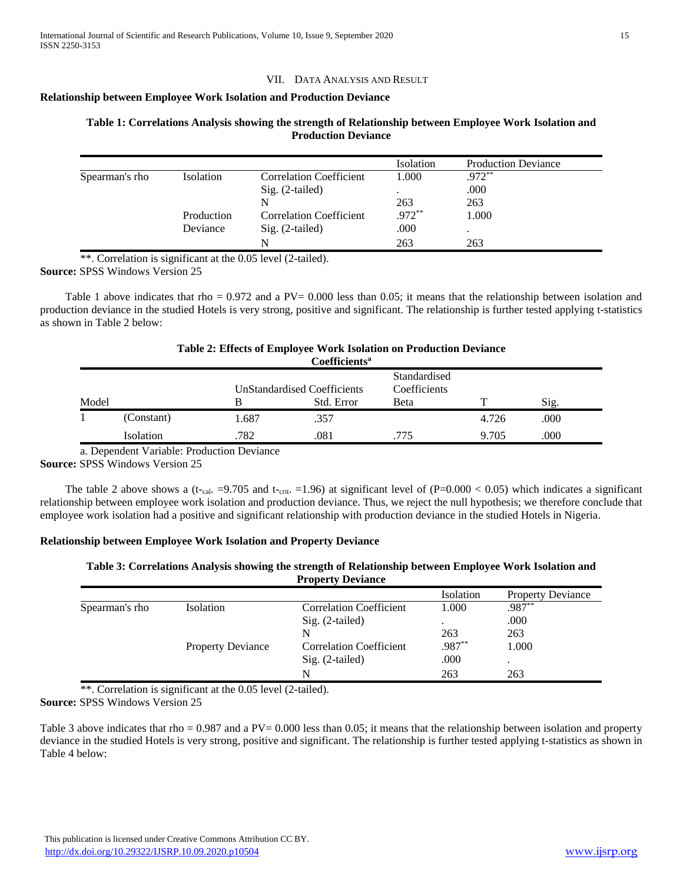#### VII. DATA ANALYSIS AND RESULT

#### **Relationship between Employee Work Isolation and Production Deviance**

|                |            |                                | Isolation | <b>Production Deviance</b> |
|----------------|------------|--------------------------------|-----------|----------------------------|
| Spearman's rho | Isolation  | <b>Correlation Coefficient</b> | 1.000     | $.972**$                   |
|                |            | $Sig. (2-tailed)$              |           | .000                       |
|                |            | N                              | 263       | 263                        |
|                | Production | Correlation Coefficient        | $.972**$  | 1.000                      |
|                | Deviance   | $Sig. (2-tailed)$              | .000      | $\bullet$                  |
|                |            | N                              | 263       | 263                        |

# **Table 1: Correlations Analysis showing the strength of Relationship between Employee Work Isolation and Production Deviance**

\*\*. Correlation is significant at the 0.05 level (2-tailed). **Source:** SPSS Windows Version 25

Table 1 above indicates that rho =  $0.972$  and a PV= 0.000 less than 0.05; it means that the relationship between isolation and production deviance in the studied Hotels is very strong, positive and significant. The relationship is further tested applying t-statistics as shown in Table 2 below:

#### **Table 2: Effects of Employee Work Isolation on Production Deviance Coefficients<sup>a</sup>**

|       |            |       | <b>COUNTLET</b>                    |                              |       |      |  |
|-------|------------|-------|------------------------------------|------------------------------|-------|------|--|
|       |            |       | <b>UnStandardised Coefficients</b> | Standardised<br>Coefficients |       |      |  |
| Model |            |       | Std. Error                         | Beta                         | ᅲ     | Sig. |  |
|       | (Constant) | 1.687 | .357                               |                              | 4.726 | .000 |  |
|       | Isolation  | 782   | .081                               | 775                          | 9.705 | .000 |  |

a. Dependent Variable: Production Deviance

**Source:** SPSS Windows Version 25

The table 2 above shows a (t-cal. =9.705 and t-crit. =1.96) at significant level of (P=0.000 < 0.05) which indicates a significant relationship between employee work isolation and production deviance. Thus, we reject the null hypothesis; we therefore conclude that employee work isolation had a positive and significant relationship with production deviance in the studied Hotels in Nigeria.

#### **Relationship between Employee Work Isolation and Property Deviance**

### **Table 3: Correlations Analysis showing the strength of Relationship between Employee Work Isolation and Property Deviance**

|                |                          |                                | Isolation | <b>Property Deviance</b> |  |
|----------------|--------------------------|--------------------------------|-----------|--------------------------|--|
| Spearman's rho | Isolation                | <b>Correlation Coefficient</b> | 1.000     | .987**                   |  |
|                |                          | Sig. (2-tailed)                |           | .000                     |  |
|                |                          | N                              | 263       | 263                      |  |
|                | <b>Property Deviance</b> | <b>Correlation Coefficient</b> | $.987**$  | 1.000                    |  |
|                |                          | $Sig. (2-tailed)$              | .000      |                          |  |
|                |                          | N                              | 263       | 263                      |  |
|                |                          |                                |           |                          |  |

\*\*. Correlation is significant at the 0.05 level (2-tailed).

**Source:** SPSS Windows Version 25

Table 3 above indicates that rho = 0.987 and a PV= 0.000 less than 0.05; it means that the relationship between isolation and property deviance in the studied Hotels is very strong, positive and significant. The relationship is further tested applying t-statistics as shown in Table 4 below: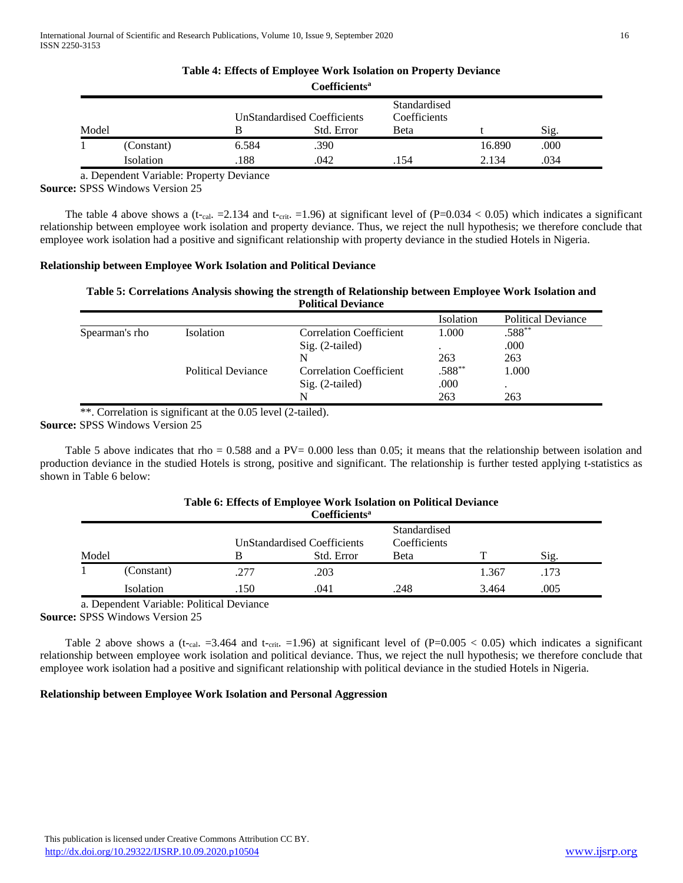|       |            |       | Coefficients <sup>a</sup>                        |                                              |        |      |  |
|-------|------------|-------|--------------------------------------------------|----------------------------------------------|--------|------|--|
| Model |            |       | <b>UnStandardised Coefficients</b><br>Std. Error | Standardised<br>Coefficients<br><b>B</b> eta |        | Sig. |  |
|       | (Constant) | 6.584 | .390                                             |                                              | 16.890 | .000 |  |
|       | Isolation  | 188   | .042                                             | .154                                         | 2.134  | .034 |  |

**Table 4: Effects of Employee Work Isolation on Property Deviance**

a. Dependent Variable: Property Deviance

**Source:** SPSS Windows Version 25

The table 4 above shows a (t-cal. =2.134 and t-crit. =1.96) at significant level of  $(P=0.034 < 0.05)$  which indicates a significant relationship between employee work isolation and property deviance. Thus, we reject the null hypothesis; we therefore conclude that employee work isolation had a positive and significant relationship with property deviance in the studied Hotels in Nigeria.

# **Relationship between Employee Work Isolation and Political Deviance**

### **Table 5: Correlations Analysis showing the strength of Relationship between Employee Work Isolation and Political Deviance**

|                |                           |                                | Isolation | <b>Political Deviance</b> |
|----------------|---------------------------|--------------------------------|-----------|---------------------------|
| Spearman's rho | Isolation                 | <b>Correlation Coefficient</b> | 1.000     | $.588***$                 |
|                |                           | Sig. (2-tailed)                |           | .000                      |
|                |                           | N                              | 263       | 263                       |
|                | <b>Political Deviance</b> | <b>Correlation Coefficient</b> | $.588**$  | 1.000                     |
|                |                           | Sig. (2-tailed)                | .000      | ٠                         |
|                |                           | N                              | 263       | 263                       |

\*\*. Correlation is significant at the 0.05 level (2-tailed).

**Source:** SPSS Windows Version 25

Table 5 above indicates that rho =  $0.588$  and a PV= 0.000 less than 0.05; it means that the relationship between isolation and production deviance in the studied Hotels is strong, positive and significant. The relationship is further tested applying t-statistics as shown in Table 6 below:

|       | Table 6: Effects of Employee Work Isolation on Political Deviance |      |                             |              |       |      |  |  |  |
|-------|-------------------------------------------------------------------|------|-----------------------------|--------------|-------|------|--|--|--|
|       | Coefficients <sup>a</sup>                                         |      |                             |              |       |      |  |  |  |
|       |                                                                   |      |                             | Standardised |       |      |  |  |  |
|       |                                                                   |      | UnStandardised Coefficients | Coefficients |       |      |  |  |  |
| Model |                                                                   | В    | Std. Error                  | Beta         |       | Sig. |  |  |  |
|       | (Constant)                                                        | .277 | .203                        |              | 1.367 | .173 |  |  |  |
|       | Isolation                                                         | .150 | .041                        | .248         | 3.464 | .005 |  |  |  |

a. Dependent Variable: Political Deviance

**Source:** SPSS Windows Version 25

Table 2 above shows a (t-cal. =3.464 and t-crit. =1.96) at significant level of (P=0.005 < 0.05) which indicates a significant relationship between employee work isolation and political deviance. Thus, we reject the null hypothesis; we therefore conclude that employee work isolation had a positive and significant relationship with political deviance in the studied Hotels in Nigeria.

# **Relationship between Employee Work Isolation and Personal Aggression**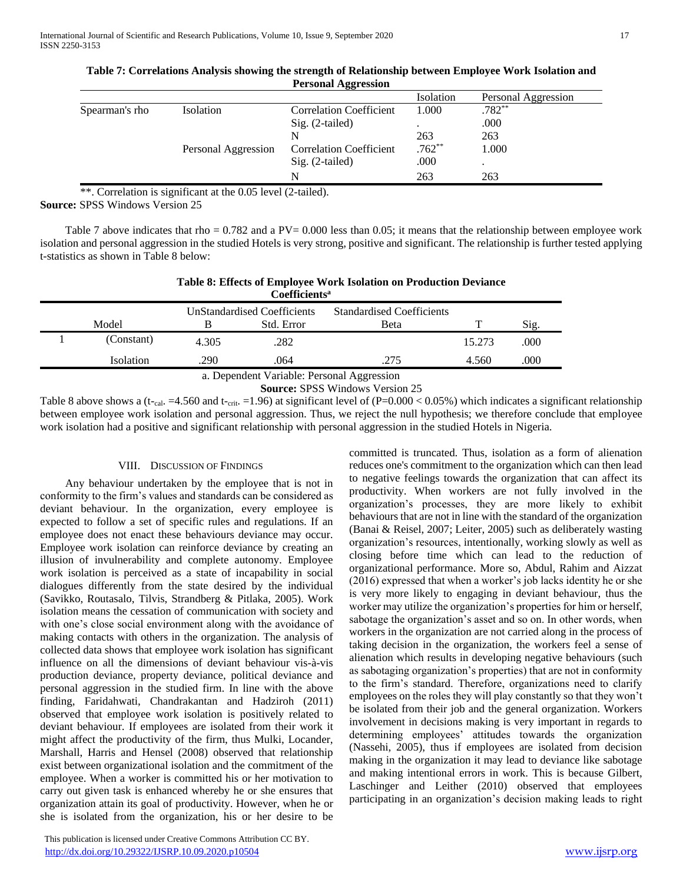|                |                     |                                | Isolation | Personal Aggression |
|----------------|---------------------|--------------------------------|-----------|---------------------|
| Spearman's rho | <b>Isolation</b>    | <b>Correlation Coefficient</b> | 1.000     | $.782**$            |
|                |                     | $Sig. (2-tailed)$              |           | .000                |
|                |                     |                                | 263       | 263                 |
|                | Personal Aggression | <b>Correlation Coefficient</b> | $.762**$  | 1.000               |
|                |                     | $Sig. (2-tailed)$              | .000      |                     |
|                |                     | N                              | 263       | 263                 |

| Table 7: Correlations Analysis showing the strength of Relationship between Employee Work Isolation and |
|---------------------------------------------------------------------------------------------------------|
| <b>Personal Aggression</b>                                                                              |

\*\*. Correlation is significant at the 0.05 level (2-tailed).

**Source:** SPSS Windows Version 25

Table 7 above indicates that rho  $= 0.782$  and a PV $= 0.000$  less than 0.05; it means that the relationship between employee work isolation and personal aggression in the studied Hotels is very strong, positive and significant. The relationship is further tested applying t-statistics as shown in Table 8 below:

|                           | Table 8: Effects of Employee Work Isolation on Production Deviance |
|---------------------------|--------------------------------------------------------------------|
| Coefficients <sup>a</sup> |                                                                    |

| <b>Coemcients"</b> |       |                                    |                                  |        |      |  |  |  |
|--------------------|-------|------------------------------------|----------------------------------|--------|------|--|--|--|
|                    |       | <b>UnStandardised Coefficients</b> | <b>Standardised Coefficients</b> |        |      |  |  |  |
| Model              |       | Std. Error                         | Beta                             |        | Sig. |  |  |  |
| (Constant)         | 4.305 | .282                               |                                  | 15.273 | .000 |  |  |  |
| Isolation          | 290   | .064                               | .275                             | 4.560  | .000 |  |  |  |

a. Dependent Variable: Personal Aggression

**Source:** SPSS Windows Version 25

Table 8 above shows a (t-cal. =4.560 and t-crit. =1.96) at significant level of (P=0.000 < 0.05%) which indicates a significant relationship between employee work isolation and personal aggression. Thus, we reject the null hypothesis; we therefore conclude that employee work isolation had a positive and significant relationship with personal aggression in the studied Hotels in Nigeria.

# VIII. DISCUSSION OF FINDINGS

 Any behaviour undertaken by the employee that is not in conformity to the firm's values and standards can be considered as deviant behaviour. In the organization, every employee is expected to follow a set of specific rules and regulations. If an employee does not enact these behaviours deviance may occur. Employee work isolation can reinforce deviance by creating an illusion of invulnerability and complete autonomy. Employee work isolation is perceived as a state of incapability in social dialogues differently from the state desired by the individual (Savikko, Routasalo, Tilvis, Strandberg & Pitlaka, 2005). Work isolation means the cessation of communication with society and with one's close social environment along with the avoidance of making contacts with others in the organization. The analysis of collected data shows that employee work isolation has significant influence on all the dimensions of deviant behaviour vis-à-vis production deviance, property deviance, political deviance and personal aggression in the studied firm. In line with the above finding, Faridahwati, Chandrakantan and Hadziroh (2011) observed that employee work isolation is positively related to deviant behaviour. If employees are isolated from their work it might affect the productivity of the firm, thus Mulki, Locander, Marshall, Harris and Hensel (2008) observed that relationship exist between organizational isolation and the commitment of the employee. When a worker is committed his or her motivation to carry out given task is enhanced whereby he or she ensures that organization attain its goal of productivity. However, when he or she is isolated from the organization, his or her desire to be

 This publication is licensed under Creative Commons Attribution CC BY. <http://dx.doi.org/10.29322/IJSRP.10.09.2020.p10504> [www.ijsrp.org](http://ijsrp.org/)

committed is truncated. Thus, isolation as a form of alienation reduces one's commitment to the organization which can then lead to negative feelings towards the organization that can affect its productivity. When workers are not fully involved in the organization's processes, they are more likely to exhibit behaviours that are not in line with the standard of the organization (Banai & Reisel, 2007; Leiter, 2005) such as deliberately wasting organization's resources, intentionally, working slowly as well as closing before time which can lead to the reduction of organizational performance. More so, Abdul, Rahim and Aizzat (2016) expressed that when a worker's job lacks identity he or she is very more likely to engaging in deviant behaviour, thus the worker may utilize the organization's properties for him or herself, sabotage the organization's asset and so on. In other words, when workers in the organization are not carried along in the process of taking decision in the organization, the workers feel a sense of alienation which results in developing negative behaviours (such as sabotaging organization's properties) that are not in conformity to the firm's standard. Therefore, organizations need to clarify employees on the roles they will play constantly so that they won't be isolated from their job and the general organization. Workers involvement in decisions making is very important in regards to determining employees' attitudes towards the organization (Nassehi, 2005), thus if employees are isolated from decision making in the organization it may lead to deviance like sabotage and making intentional errors in work. This is because Gilbert, Laschinger and Leither (2010) observed that employees participating in an organization's decision making leads to right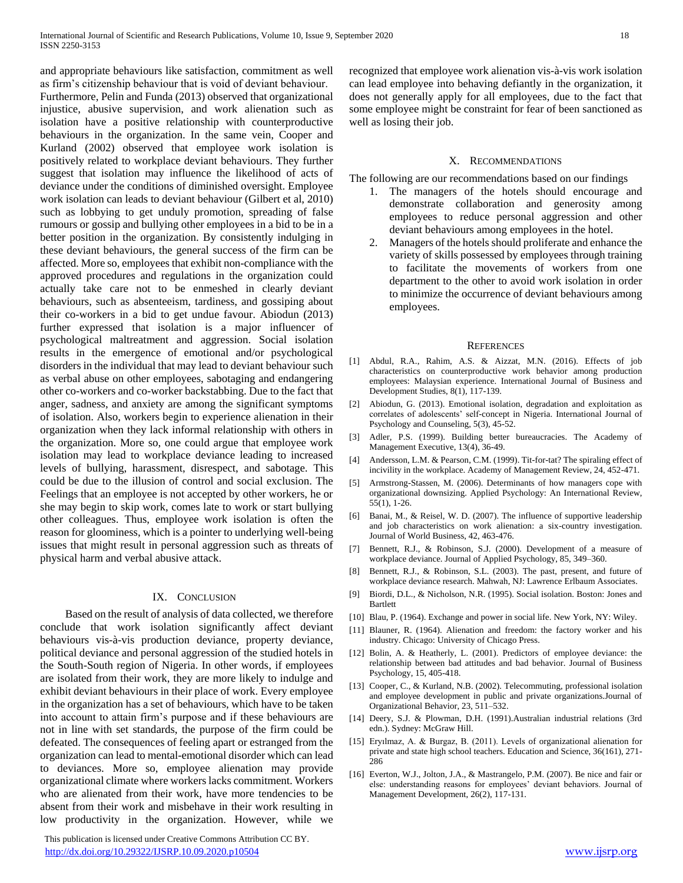and appropriate behaviours like satisfaction, commitment as well as firm's citizenship behaviour that is void of deviant behaviour. Furthermore, Pelin and Funda (2013) observed that organizational injustice, abusive supervision, and work alienation such as isolation have a positive relationship with counterproductive behaviours in the organization. In the same vein, Cooper and Kurland (2002) observed that employee work isolation is positively related to workplace deviant behaviours. They further suggest that isolation may influence the likelihood of acts of deviance under the conditions of diminished oversight. Employee work isolation can leads to deviant behaviour (Gilbert et al, 2010) such as lobbying to get unduly promotion, spreading of false rumours or gossip and bullying other employees in a bid to be in a better position in the organization. By consistently indulging in these deviant behaviours, the general success of the firm can be affected. More so, employees that exhibit non-compliance with the approved procedures and regulations in the organization could actually take care not to be enmeshed in clearly deviant behaviours, such as absenteeism, tardiness, and gossiping about their co-workers in a bid to get undue favour. Abiodun (2013) further expressed that isolation is a major influencer of psychological maltreatment and aggression. Social isolation results in the emergence of emotional and/or psychological disorders in the individual that may lead to deviant behaviour such as verbal abuse on other employees, sabotaging and endangering other co-workers and co-worker backstabbing. Due to the fact that anger, sadness, and anxiety are among the significant symptoms of isolation. Also, workers begin to experience alienation in their organization when they lack informal relationship with others in the organization. More so, one could argue that employee work isolation may lead to workplace deviance leading to increased levels of bullying, harassment, disrespect, and sabotage. This could be due to the illusion of control and social exclusion. The Feelings that an employee is not accepted by other workers, he or she may begin to skip work, comes late to work or start bullying other colleagues. Thus, employee work isolation is often the reason for gloominess, which is a pointer to underlying well-being issues that might result in personal aggression such as threats of physical harm and verbal abusive attack.

#### IX. CONCLUSION

 Based on the result of analysis of data collected, we therefore conclude that work isolation significantly affect deviant behaviours vis-à-vis production deviance, property deviance, political deviance and personal aggression of the studied hotels in the South-South region of Nigeria. In other words, if employees are isolated from their work, they are more likely to indulge and exhibit deviant behaviours in their place of work. Every employee in the organization has a set of behaviours, which have to be taken into account to attain firm's purpose and if these behaviours are not in line with set standards, the purpose of the firm could be defeated. The consequences of feeling apart or estranged from the organization can lead to mental-emotional disorder which can lead to deviances. More so, employee alienation may provide organizational climate where workers lacks commitment. Workers who are alienated from their work, have more tendencies to be absent from their work and misbehave in their work resulting in low productivity in the organization. However, while we

 This publication is licensed under Creative Commons Attribution CC BY. <http://dx.doi.org/10.29322/IJSRP.10.09.2020.p10504> [www.ijsrp.org](http://ijsrp.org/)

recognized that employee work alienation vis-à-vis work isolation can lead employee into behaving defiantly in the organization, it does not generally apply for all employees, due to the fact that some employee might be constraint for fear of been sanctioned as well as losing their job.

#### X. RECOMMENDATIONS

The following are our recommendations based on our findings

- 1. The managers of the hotels should encourage and demonstrate collaboration and generosity among employees to reduce personal aggression and other deviant behaviours among employees in the hotel.
- 2. Managers of the hotels should proliferate and enhance the variety of skills possessed by employees through training to facilitate the movements of workers from one department to the other to avoid work isolation in order to minimize the occurrence of deviant behaviours among employees.

#### **REFERENCES**

- [1] Abdul, R.A., Rahim, A.S. & Aizzat, M.N. (2016). Effects of job characteristics on counterproductive work behavior among production employees: Malaysian experience. International Journal of Business and Development Studies, 8(1), 117-139.
- [2] Abiodun, G. (2013). Emotional isolation, degradation and exploitation as correlates of adolescents' self-concept in Nigeria. International Journal of Psychology and Counseling, 5(3), 45-52.
- [3] Adler, P.S. (1999). Building better bureaucracies. The Academy of Management Executive, 13(4), 36-49.
- [4] Andersson, L.M. & Pearson, C.M. (1999). Tit-for-tat? The spiraling effect of incivility in the workplace. Academy of Management Review, 24, 452-471.
- [5] Armstrong-Stassen, M. (2006). Determinants of how managers cope with organizational downsizing. Applied Psychology: An International Review, 55(1), 1-26.
- [6] Banai, M., & Reisel, W. D. (2007). The influence of supportive leadership and job characteristics on work alienation: a six-country investigation. Journal of World Business, 42, 463-476.
- [7] Bennett, R.J., & Robinson, S.J. (2000). Development of a measure of workplace deviance. Journal of Applied Psychology, 85, 349–360.
- [8] Bennett, R.J., & Robinson, S.L. (2003). The past, present, and future of workplace deviance research. Mahwah, NJ: Lawrence Erlbaum Associates.
- [9] Biordi, D.L., & Nicholson, N.R. (1995). Social isolation. Boston: Jones and Bartlett
- [10] Blau, P. (1964). Exchange and power in social life. New York, NY: Wiley.
- [11] Blauner, R. (1964). Alienation and freedom: the factory worker and his industry. Chicago: University of Chicago Press.
- [12] Bolin, A. & Heatherly, L. (2001). Predictors of employee deviance: the relationship between bad attitudes and bad behavior. Journal of Business Psychology, 15, 405-418.
- [13] Cooper, C., & Kurland, N.B. (2002). Telecommuting, professional isolation and employee development in public and private organizations.Journal of Organizational Behavior, 23, 511–532.
- [14] Deery, S.J. & Plowman, D.H. (1991).Australian industrial relations (3rd edn.). Sydney: McGraw Hill.
- [15] Eryılmaz, A. & Burgaz, B. (2011). Levels of organizational alienation for private and state high school teachers. Education and Science, 36(161), 271- 286
- [16] Everton, W.J., Jolton, J.A., & Mastrangelo, P.M. (2007). Be nice and fair or else: understanding reasons for employees' deviant behaviors. Journal of Management Development, 26(2), 117-131.